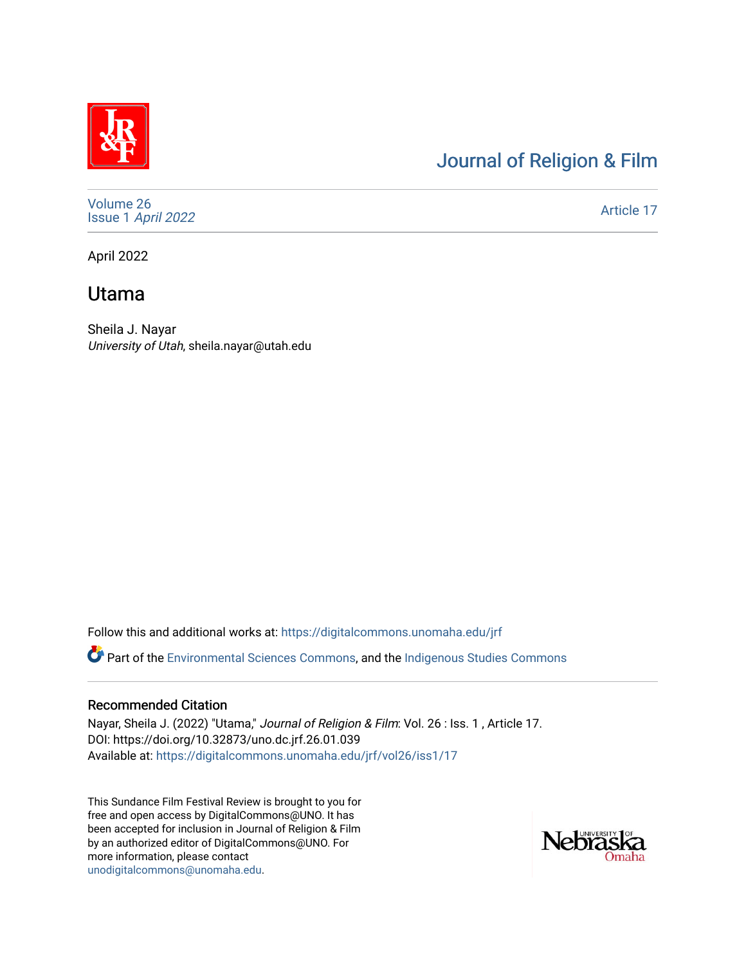# [Journal of Religion & Film](https://digitalcommons.unomaha.edu/jrf)

[Volume 26](https://digitalcommons.unomaha.edu/jrf/vol26) Issue 1 [April 2022](https://digitalcommons.unomaha.edu/jrf/vol26/iss1) 

[Article 17](https://digitalcommons.unomaha.edu/jrf/vol26/iss1/17) 

April 2022

## Utama

Sheila J. Nayar University of Utah, sheila.nayar@utah.edu

Follow this and additional works at: [https://digitalcommons.unomaha.edu/jrf](https://digitalcommons.unomaha.edu/jrf?utm_source=digitalcommons.unomaha.edu%2Fjrf%2Fvol26%2Fiss1%2F17&utm_medium=PDF&utm_campaign=PDFCoverPages)

Part of the [Environmental Sciences Commons](http://network.bepress.com/hgg/discipline/167?utm_source=digitalcommons.unomaha.edu%2Fjrf%2Fvol26%2Fiss1%2F17&utm_medium=PDF&utm_campaign=PDFCoverPages), and the [Indigenous Studies Commons](http://network.bepress.com/hgg/discipline/571?utm_source=digitalcommons.unomaha.edu%2Fjrf%2Fvol26%2Fiss1%2F17&utm_medium=PDF&utm_campaign=PDFCoverPages) 

### Recommended Citation

Nayar, Sheila J. (2022) "Utama," Journal of Religion & Film: Vol. 26 : Iss. 1 , Article 17. DOI: https://doi.org/10.32873/uno.dc.jrf.26.01.039 Available at: [https://digitalcommons.unomaha.edu/jrf/vol26/iss1/17](https://digitalcommons.unomaha.edu/jrf/vol26/iss1/17?utm_source=digitalcommons.unomaha.edu%2Fjrf%2Fvol26%2Fiss1%2F17&utm_medium=PDF&utm_campaign=PDFCoverPages) 

This Sundance Film Festival Review is brought to you for free and open access by DigitalCommons@UNO. It has been accepted for inclusion in Journal of Religion & Film by an authorized editor of DigitalCommons@UNO. For more information, please contact [unodigitalcommons@unomaha.edu.](mailto:unodigitalcommons@unomaha.edu)

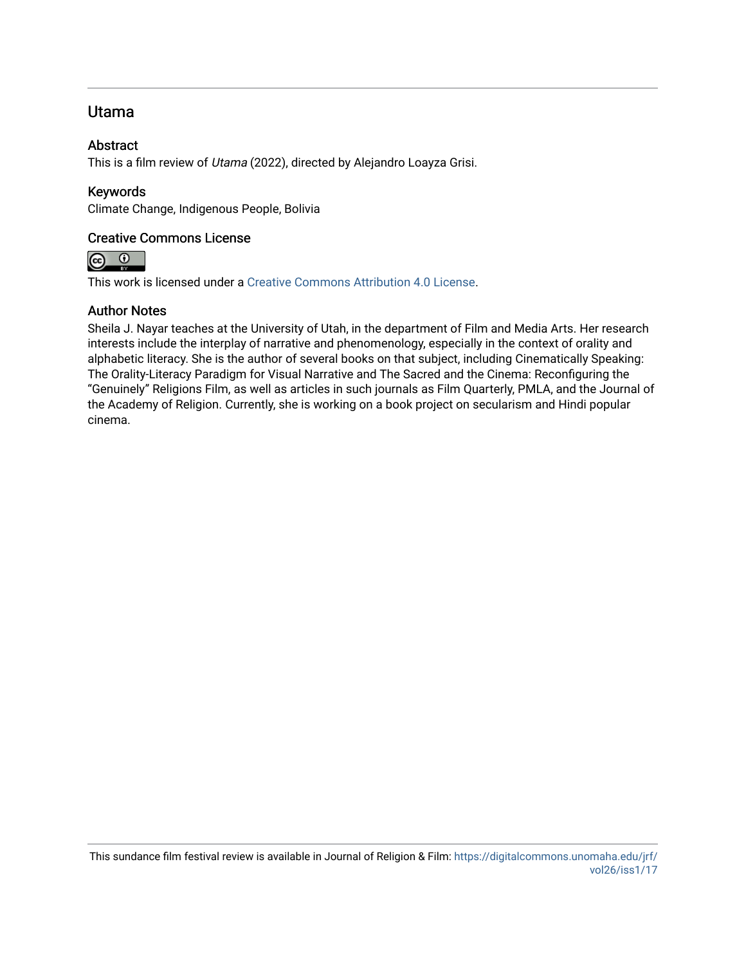### Utama

#### **Abstract**

This is a film review of Utama (2022), directed by Alejandro Loayza Grisi.

#### Keywords

Climate Change, Indigenous People, Bolivia

#### Creative Commons License



This work is licensed under a [Creative Commons Attribution 4.0 License](https://creativecommons.org/licenses/by/4.0/).

#### Author Notes

Sheila J. Nayar teaches at the University of Utah, in the department of Film and Media Arts. Her research interests include the interplay of narrative and phenomenology, especially in the context of orality and alphabetic literacy. She is the author of several books on that subject, including Cinematically Speaking: The Orality-Literacy Paradigm for Visual Narrative and The Sacred and the Cinema: Reconfiguring the "Genuinely" Religions Film, as well as articles in such journals as Film Quarterly, PMLA, and the Journal of the Academy of Religion. Currently, she is working on a book project on secularism and Hindi popular cinema.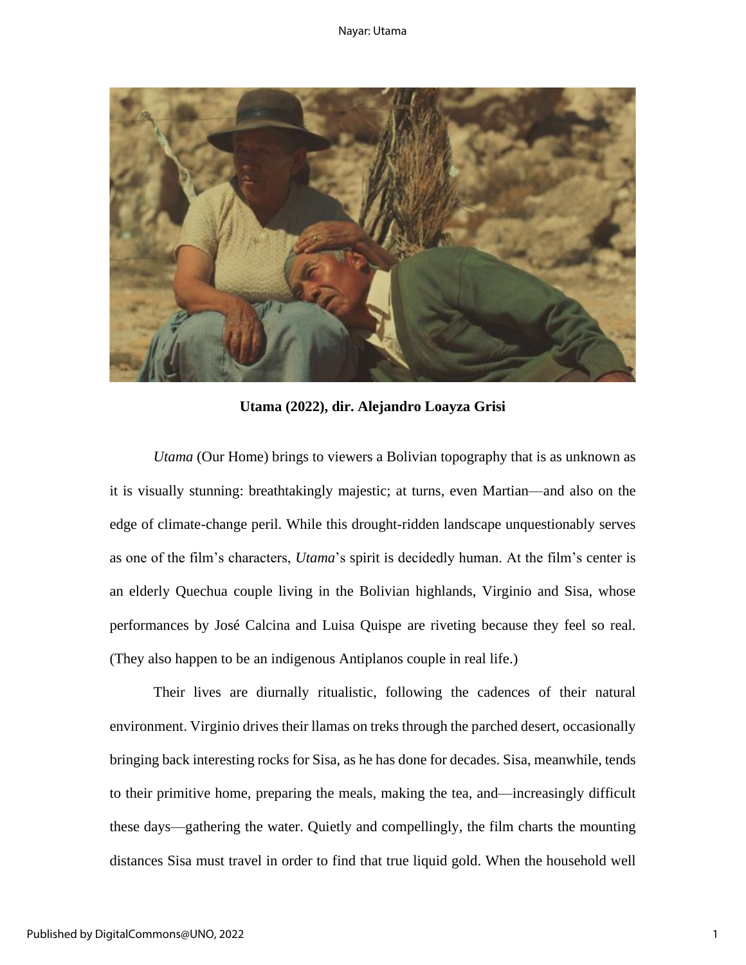

**Utama (2022), dir. Alejandro Loayza Grisi** 

*Utama* (Our Home) brings to viewers a Bolivian topography that is as unknown as it is visually stunning: breathtakingly majestic; at turns, even Martian—and also on the edge of climate-change peril. While this drought-ridden landscape unquestionably serves as one of the film's characters, *Utama*'s spirit is decidedly human. At the film's center is an elderly Quechua couple living in the Bolivian highlands, Virginio and Sisa, whose performances by José Calcina and Luisa Quispe are riveting because they feel so real. (They also happen to be an indigenous Antiplanos couple in real life.)

Their lives are diurnally ritualistic, following the cadences of their natural environment. Virginio drives their llamas on treks through the parched desert, occasionally bringing back interesting rocks for Sisa, as he has done for decades. Sisa, meanwhile, tends to their primitive home, preparing the meals, making the tea, and—increasingly difficult these days—gathering the water. Quietly and compellingly, the film charts the mounting distances Sisa must travel in order to find that true liquid gold. When the household well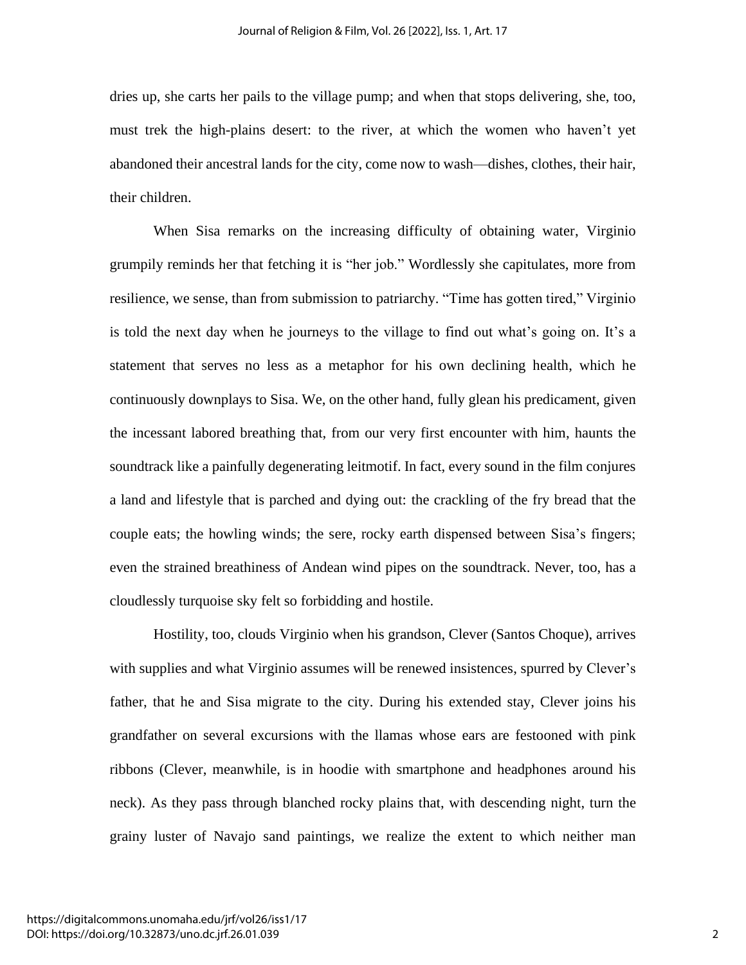dries up, she carts her pails to the village pump; and when that stops delivering, she, too, must trek the high-plains desert: to the river, at which the women who haven't yet abandoned their ancestral lands for the city, come now to wash—dishes, clothes, their hair, their children.

When Sisa remarks on the increasing difficulty of obtaining water, Virginio grumpily reminds her that fetching it is "her job." Wordlessly she capitulates, more from resilience, we sense, than from submission to patriarchy. "Time has gotten tired," Virginio is told the next day when he journeys to the village to find out what's going on. It's a statement that serves no less as a metaphor for his own declining health, which he continuously downplays to Sisa. We, on the other hand, fully glean his predicament, given the incessant labored breathing that, from our very first encounter with him, haunts the soundtrack like a painfully degenerating leitmotif. In fact, every sound in the film conjures a land and lifestyle that is parched and dying out: the crackling of the fry bread that the couple eats; the howling winds; the sere, rocky earth dispensed between Sisa's fingers; even the strained breathiness of Andean wind pipes on the soundtrack. Never, too, has a cloudlessly turquoise sky felt so forbidding and hostile.

Hostility, too, clouds Virginio when his grandson, Clever (Santos Choque), arrives with supplies and what Virginio assumes will be renewed insistences, spurred by Clever's father, that he and Sisa migrate to the city. During his extended stay, Clever joins his grandfather on several excursions with the llamas whose ears are festooned with pink ribbons (Clever, meanwhile, is in hoodie with smartphone and headphones around his neck). As they pass through blanched rocky plains that, with descending night, turn the grainy luster of Navajo sand paintings, we realize the extent to which neither man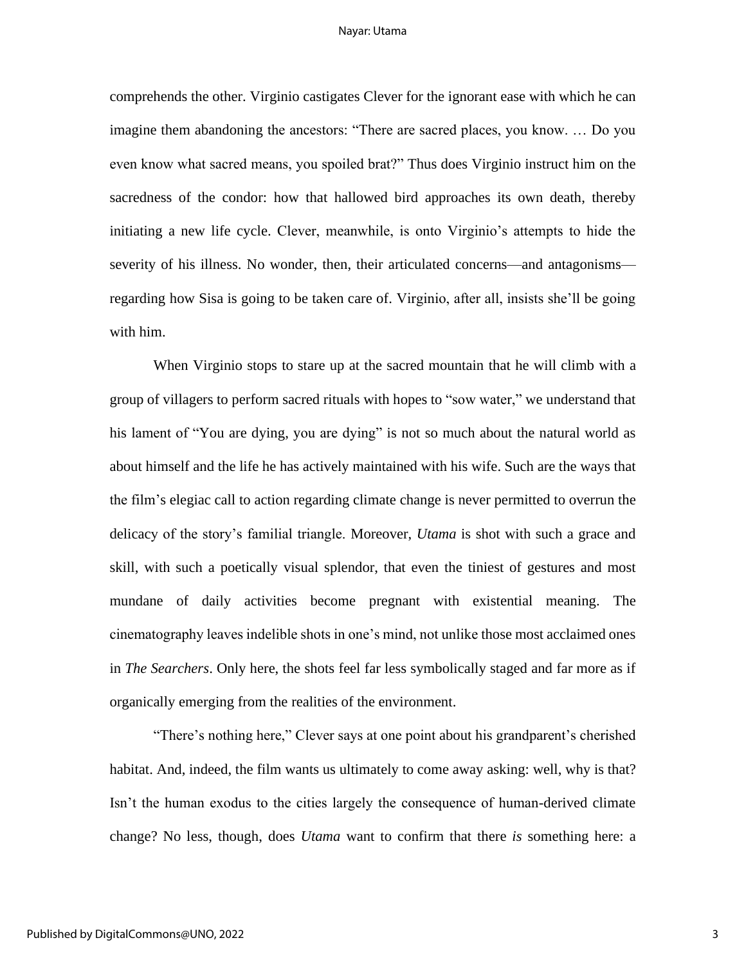#### Nayar: Utama

comprehends the other. Virginio castigates Clever for the ignorant ease with which he can imagine them abandoning the ancestors: "There are sacred places, you know. … Do you even know what sacred means, you spoiled brat?" Thus does Virginio instruct him on the sacredness of the condor: how that hallowed bird approaches its own death, thereby initiating a new life cycle. Clever, meanwhile, is onto Virginio's attempts to hide the severity of his illness. No wonder, then, their articulated concerns—and antagonisms regarding how Sisa is going to be taken care of. Virginio, after all, insists she'll be going with him.

When Virginio stops to stare up at the sacred mountain that he will climb with a group of villagers to perform sacred rituals with hopes to "sow water," we understand that his lament of "You are dying, you are dying" is not so much about the natural world as about himself and the life he has actively maintained with his wife. Such are the ways that the film's elegiac call to action regarding climate change is never permitted to overrun the delicacy of the story's familial triangle. Moreover, *Utama* is shot with such a grace and skill, with such a poetically visual splendor, that even the tiniest of gestures and most mundane of daily activities become pregnant with existential meaning. The cinematography leaves indelible shots in one's mind, not unlike those most acclaimed ones in *The Searchers*. Only here, the shots feel far less symbolically staged and far more as if organically emerging from the realities of the environment.

"There's nothing here," Clever says at one point about his grandparent's cherished habitat. And, indeed, the film wants us ultimately to come away asking: well, why is that? Isn't the human exodus to the cities largely the consequence of human-derived climate change? No less, though, does *Utama* want to confirm that there *is* something here: a

3